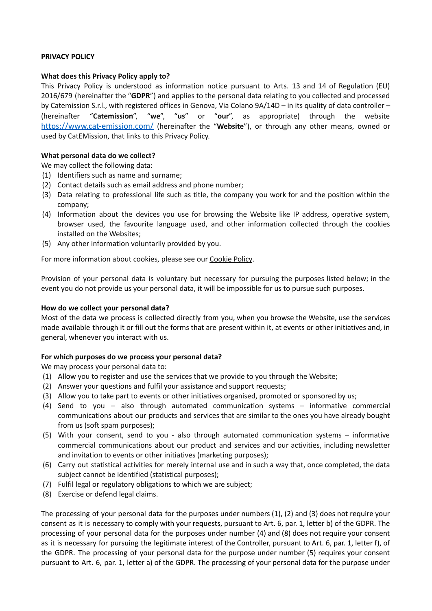## **PRIVACY POLICY**

## **What does this Privacy Policy apply to?**

This Privacy Policy is understood as information notice pursuant to Arts. 13 and 14 of Regulation (EU) 2016/679 (hereinafter the "**GDPR**") and applies to the personal data relating to you collected and processed by Catemission S.r.l., with registered offices in Genova, Via Colano 9A/14D – in its quality of data controller – (hereinafter "**Catemission**", "**we**", "**us**" or "**our**", as appropriate) through the website <https://www.cat-emission.com/> (hereinafter the "**Website**"), or through any other means, owned or used by CatEMission, that links to this Privacy Policy.

# **What personal data do we collect?**

We may collect the following data:

- (1) Identifiers such as name and surname;
- (2) Contact details such as email address and phone number;
- (3) Data relating to professional life such as title, the company you work for and the position within the company;
- (4) Information about the devices you use for browsing the Website like IP address, operative system, browser used, the favourite language used, and other information collected through the cookies installed on the Websites;
- (5) Any other information voluntarily provided by you.

For more information about cookies, please see our Cookie Policy.

Provision of your personal data is voluntary but necessary for pursuing the purposes listed below; in the event you do not provide us your personal data, it will be impossible for us to pursue such purposes.

### **How do we collect your personal data?**

Most of the data we process is collected directly from you, when you browse the Website, use the services made available through it or fill out the forms that are present within it, at events or other initiatives and, in general, whenever you interact with us.

### **For which purposes do we process your personal data?**

We may process your personal data to:

- (1) Allow you to register and use the services that we provide to you through the Website;
- (2) Answer your questions and fulfil your assistance and support requests;
- (3) Allow you to take part to events or other initiatives organised, promoted or sponsored by us;
- (4) Send to you also through automated communication systems informative commercial communications about our products and services that are similar to the ones you have already bought from us (soft spam purposes);
- (5) With your consent, send to you also through automated communication systems informative commercial communications about our product and services and our activities, including newsletter and invitation to events or other initiatives (marketing purposes);
- (6) Carry out statistical activities for merely internal use and in such a way that, once completed, the data subject cannot be identified (statistical purposes);
- (7) Fulfil legal or regulatory obligations to which we are subject;
- (8) Exercise or defend legal claims.

The processing of your personal data for the purposes under numbers (1), (2) and (3) does not require your consent as it is necessary to comply with your requests, pursuant to Art. 6, par. 1, letter b) of the GDPR. The processing of your personal data for the purposes under number (4) and (8) does not require your consent as it is necessary for pursuing the legitimate interest of the Controller, pursuant to Art. 6, par. 1, letter f), of the GDPR. The processing of your personal data for the purpose under number (5) requires your consent pursuant to Art. 6, par. 1, letter a) of the GDPR. The processing of your personal data for the purpose under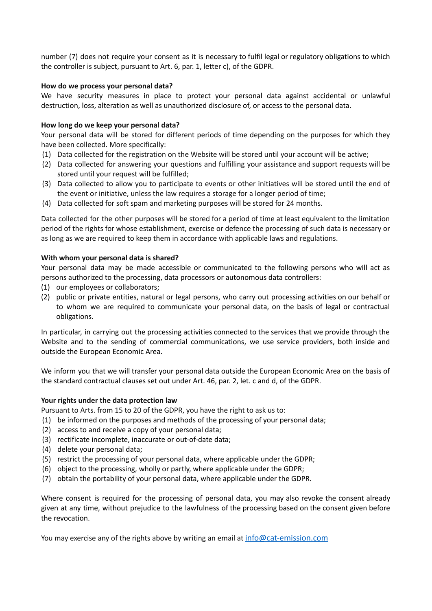number (7) does not require your consent as it is necessary to fulfil legal or regulatory obligations to which the controller is subject, pursuant to Art. 6, par. 1, letter c), of the GDPR.

### **How do we process your personal data?**

We have security measures in place to protect your personal data against accidental or unlawful destruction, loss, alteration as well as unauthorized disclosure of, or access to the personal data.

## **How long do we keep your personal data?**

Your personal data will be stored for different periods of time depending on the purposes for which they have been collected. More specifically:

- (1) Data collected for the registration on the Website will be stored until your account will be active;
- (2) Data collected for answering your questions and fulfilling your assistance and support requests will be stored until your request will be fulfilled;
- (3) Data collected to allow you to participate to events or other initiatives will be stored until the end of the event or initiative, unless the law requires a storage for a longer period of time;
- (4) Data collected for soft spam and marketing purposes will be stored for 24 months.

Data collected for the other purposes will be stored for a period of time at least equivalent to the limitation period of the rights for whose establishment, exercise or defence the processing of such data is necessary or as long as we are required to keep them in accordance with applicable laws and regulations.

### **With whom your personal data is shared?**

Your personal data may be made accessible or communicated to the following persons who will act as persons authorized to the processing, data processors or autonomous data controllers:

- (1) our employees or collaborators;
- (2) public or private entities, natural or legal persons, who carry out processing activities on our behalf or to whom we are required to communicate your personal data, on the basis of legal or contractual obligations.

In particular, in carrying out the processing activities connected to the services that we provide through the Website and to the sending of commercial communications, we use service providers, both inside and outside the European Economic Area.

We inform you that we will transfer your personal data outside the European Economic Area on the basis of the standard contractual clauses set out under Art. 46, par. 2, let. c and d, of the GDPR.

### **Your rights under the data protection law**

Pursuant to Arts. from 15 to 20 of the GDPR, you have the right to ask us to:

- (1) be informed on the purposes and methods of the processing of your personal data;
- (2) access to and receive a copy of your personal data;
- (3) rectificate incomplete, inaccurate or out-of-date data;
- (4) delete your personal data;
- (5) restrict the processing of your personal data, where applicable under the GDPR;
- (6) object to the processing, wholly or partly, where applicable under the GDPR;
- (7) obtain the portability of your personal data, where applicable under the GDPR.

Where consent is required for the processing of personal data, you may also revoke the consent already given at any time, without prejudice to the lawfulness of the processing based on the consent given before the revocation.

You may exercise any of the rights above by writing an email at  $info@cat-emission.com$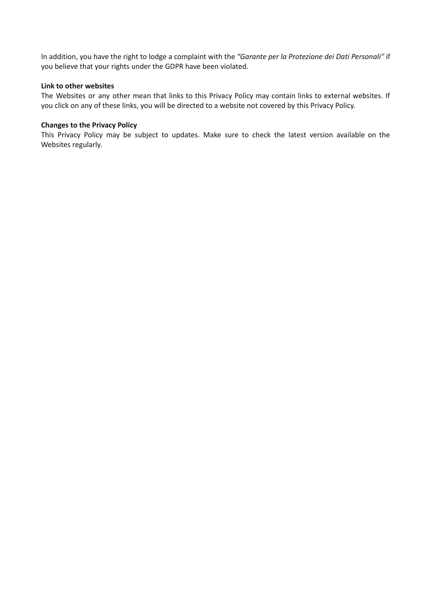In addition, you have the right to lodge a complaint with the *"Garante per la Protezione dei Dati Personali"* if you believe that your rights under the GDPR have been violated.

#### **Link to other websites**

The Websites or any other mean that links to this Privacy Policy may contain links to external websites. If you click on any of these links, you will be directed to a website not covered by this Privacy Policy.

#### **Changes to the Privacy Policy**

This Privacy Policy may be subject to updates. Make sure to check the latest version available on the Websites regularly.